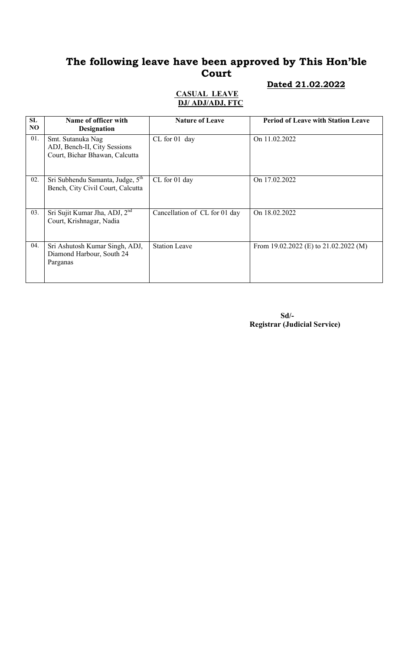## The following leave have been approved by This Hon'ble Court

#### Dated 21.02.2022

#### CASUAL LEAVE DJ/ ADJ/ADJ, FTC

| SL<br>NO. | Name of officer with<br><b>Designation</b>                                          | <b>Nature of Leave</b>        | <b>Period of Leave with Station Leave</b> |
|-----------|-------------------------------------------------------------------------------------|-------------------------------|-------------------------------------------|
| 01.       | Smt. Sutanuka Nag<br>ADJ, Bench-II, City Sessions<br>Court, Bichar Bhawan, Calcutta | CL for 01 day                 | On 11.02.2022                             |
| 02.       | Sri Subhendu Samanta, Judge, 5 <sup>th</sup><br>Bench, City Civil Court, Calcutta   | CL for 01 day                 | On 17.02.2022                             |
| 03.       | Sri Sujit Kumar Jha, ADJ, 2 <sup>nd</sup><br>Court, Krishnagar, Nadia               | Cancellation of CL for 01 day | On 18.02.2022                             |
| 04.       | Sri Ashutosh Kumar Singh, ADJ,<br>Diamond Harbour, South 24<br>Parganas             | <b>Station Leave</b>          | From 19.02.2022 (E) to $21.02.2022$ (M)   |

 Sd/- Registrar (Judicial Service)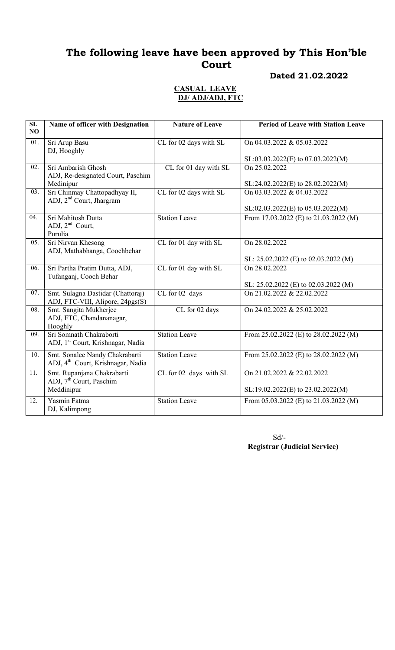## The following leave have been approved by This Hon'ble Court

#### Dated 21.02.2022

#### CASUAL LEAVE DJ/ ADJ/ADJ, FTC

| SL<br>NO | Name of officer with Designation                                                | <b>Nature of Leave</b> | <b>Period of Leave with Station Leave</b> |
|----------|---------------------------------------------------------------------------------|------------------------|-------------------------------------------|
| 01.      | Sri Arup Basu<br>DJ, Hooghly                                                    | CL for 02 days with SL | On 04.03.2022 & 05.03.2022                |
|          |                                                                                 |                        | SL:03.03.2022(E) to 07.03.2022(M)         |
| 02.      | Sri Ambarish Ghosh<br>ADJ, Re-designated Court, Paschim                         | CL for 01 day with SL  | On 25.02.2022                             |
|          | Medinipur                                                                       |                        | SL:24.02.2022(E) to 28.02.2022(M)         |
| 03.      | Sri Chinmay Chattopadhyay II,<br>ADJ, 2 <sup>nd</sup> Court, Jhargram           | CL for 02 days with SL | On 03.03.2022 & 04.03.2022                |
|          |                                                                                 |                        | $SL: 02.03.2022(E)$ to $05.03.2022(M)$    |
| 04.      | Sri Mahitosh Dutta<br>ADJ, $2nd$ Court,<br>Purulia                              | <b>Station Leave</b>   | From 17.03.2022 (E) to 21.03.2022 (M)     |
| 05.      | Sri Nirvan Khesong<br>ADJ, Mathabhanga, Coochbehar                              | CL for 01 day with SL  | On 28.02.2022                             |
|          |                                                                                 |                        | SL: 25.02.2022 (E) to 02.03.2022 (M)      |
| 06.      | Sri Partha Pratim Dutta, ADJ,<br>Tufanganj, Cooch Behar                         | CL for 01 day with SL  | On 28.02.2022                             |
|          |                                                                                 |                        | SL: 25.02.2022 (E) to 02.03.2022 (M)      |
| 07.      | Smt. Sulagna Dastidar (Chattoraj)<br>ADJ, FTC-VIII, Alipore, 24pgs(S)           | CL for 02 days         | On 21.02.2022 & 22.02.2022                |
| 08.      | Smt. Sangita Mukherjee<br>ADJ, FTC, Chandananagar,<br>Hooghly                   | CL for 02 days         | On 24.02.2022 & 25.02.2022                |
| 09.      | Sri Somnath Chakraborti<br>ADJ, 1 <sup>st</sup> Court, Krishnagar, Nadia        | <b>Station Leave</b>   | From 25.02.2022 (E) to 28.02.2022 (M)     |
| 10.      | Smt. Sonalee Nandy Chakrabarti<br>ADJ, 4 <sup>th</sup> Court, Krishnagar, Nadia | <b>Station Leave</b>   | From 25.02.2022 (E) to 28.02.2022 (M)     |
| 11.      | Smt. Rupanjana Chakrabarti<br>ADJ, 7 <sup>th</sup> Court, Paschim               | CL for 02 days with SL | On 21.02.2022 & 22.02.2022                |
|          | Meddinipur                                                                      |                        | SL:19.02.2022(E) to 23.02.2022(M)         |
| 12.      | Yasmin Fatma<br>DJ, Kalimpong                                                   | <b>Station Leave</b>   | From 05.03.2022 (E) to 21.03.2022 (M)     |

 Sd/- Registrar (Judicial Service)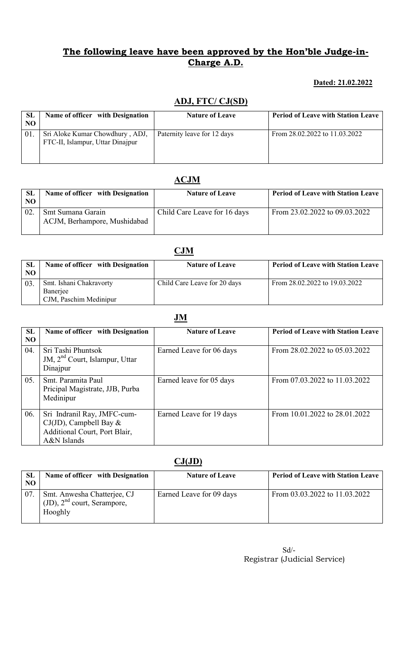### The following leave have been approved by the Hon'ble Judge-in-Charge A.D.

### Dated: 21.02.2022

## ADJ, FTC/ CJ(SD)

| <b>SL</b><br>NO. | Name of officer with Designation                                    | <b>Nature of Leave</b>      | <b>Period of Leave with Station Leave</b> |
|------------------|---------------------------------------------------------------------|-----------------------------|-------------------------------------------|
|                  | Sri Aloke Kumar Chowdhury, ADJ,<br>FTC-II, Islampur, Uttar Dinajpur | Paternity leave for 12 days | From $28.02.2022$ to $11.03.2022$         |

## ACJM

| SL<br>NO. | Name of officer with Designation                  | <b>Nature of Leave</b>       | <b>Period of Leave with Station Leave</b> |
|-----------|---------------------------------------------------|------------------------------|-------------------------------------------|
| 02        | Smt Sumana Garain<br>ACJM, Berhampore, Mushidabad | Child Care Leave for 16 days | From 23.02.2022 to 09.03.2022             |

|                |                                  | CJM                          |                                           |
|----------------|----------------------------------|------------------------------|-------------------------------------------|
| <b>SL</b>      | Name of officer with Designation | <b>Nature of Leave</b>       | <b>Period of Leave with Station Leave</b> |
| N <sub>O</sub> |                                  |                              |                                           |
| 03.            | Smt. Ishani Chakravorty          | Child Care Leave for 20 days | From 28.02.2022 to 19.03.2022             |
|                | Banerjee                         |                              |                                           |
|                | CJM, Paschim Medinipur           |                              |                                           |

### JM

| <b>SL</b><br>N <sub>O</sub> | Name of officer with Designation                                                                           | <b>Nature of Leave</b>   | <b>Period of Leave with Station Leave</b> |
|-----------------------------|------------------------------------------------------------------------------------------------------------|--------------------------|-------------------------------------------|
| 04.                         | Sri Tashi Phuntsok<br>JM, 2 <sup>nd</sup> Court, Islampur, Uttar<br>Dinajpur                               | Earned Leave for 06 days | From 28.02.2022 to 05.03.2022             |
| 05.                         | Smt. Paramita Paul<br>Pricipal Magistrate, JJB, Purba<br>Medinipur                                         | Earned leave for 05 days | From 07.03.2022 to 11.03.2022             |
| 06.                         | Sri Indranil Ray, JMFC-cum-<br>$CJ(JD)$ , Campbell Bay $&$<br>Additional Court, Port Blair,<br>A&N Islands | Earned Leave for 19 days | From 10.01.2022 to 28.01.2022             |

## $CJ(JD)$

| <b>SL</b><br>NO. | Name of officer with Designation                                           | <b>Nature of Leave</b>   | <b>Period of Leave with Station Leave</b> |
|------------------|----------------------------------------------------------------------------|--------------------------|-------------------------------------------|
| 07               | Smt. Anwesha Chatterjee, CJ<br>$(JD)$ , $2nd$ court, Serampore,<br>Hooghly | Earned Leave for 09 days | From 03.03.2022 to 11.03.2022             |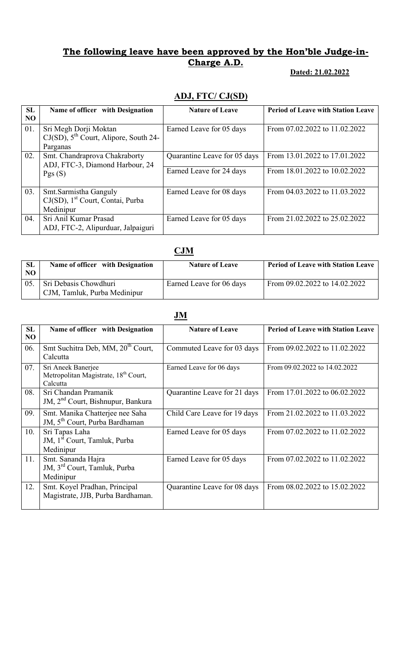### The following leave have been approved by the Hon'ble Judge-in-Charge A.D.

#### Dated: 21.02.2022

# ADJ, FTC/ CJ(SD)

| <b>SL</b>      | Name of officer with Designation              | <b>Nature of Leave</b>       | <b>Period of Leave with Station Leave</b> |
|----------------|-----------------------------------------------|------------------------------|-------------------------------------------|
| N <sub>O</sub> |                                               |                              |                                           |
|                |                                               |                              |                                           |
| 01.            | Sri Megh Dorji Moktan                         | Earned Leave for 05 days     | From 07.02.2022 to 11.02.2022             |
|                |                                               |                              |                                           |
|                | $CJ(SD)$ , $5^{th}$ Court, Alipore, South 24- |                              |                                           |
|                | Parganas                                      |                              |                                           |
| 02.            | Smt. Chandraprova Chakraborty                 | Quarantine Leave for 05 days | From 13.01.2022 to 17.01.2022             |
|                | ADJ, FTC-3, Diamond Harbour, 24               |                              |                                           |
|                |                                               | Earned Leave for 24 days     | From 18.01.2022 to 10.02.2022             |
|                | Pgs(S)                                        |                              |                                           |
|                |                                               |                              |                                           |
|                |                                               |                              |                                           |
| 03.            | Smt.Sarmistha Ganguly                         | Earned Leave for 08 days     | From 04.03.2022 to 11.03.2022             |
|                | CJ(SD), 1 <sup>st</sup> Court, Contai, Purba  |                              |                                           |
|                | Medinipur                                     |                              |                                           |
|                |                                               |                              |                                           |
| 04.            | Sri Anil Kumar Prasad                         | Earned Leave for 05 days     | From 21.02.2022 to 25.02.2022             |
|                | ADJ, FTC-2, Alipurduar, Jalpaiguri            |                              |                                           |
|                |                                               |                              |                                           |

### **CJM**

| <b>SL</b><br>NO. | Name of officer with Designation                      | <b>Nature of Leave</b>   | Period of Leave with Station Leave |
|------------------|-------------------------------------------------------|--------------------------|------------------------------------|
| 05               | Sri Debasis Chowdhuri<br>CJM, Tamluk, Purba Medinipur | Earned Leave for 06 days | From 09.02.2022 to 14.02.2022      |

### JM

| <b>SL</b> | Name of officer with Designation                 | <b>Nature of Leave</b>       | <b>Period of Leave with Station Leave</b> |
|-----------|--------------------------------------------------|------------------------------|-------------------------------------------|
| NO        |                                                  |                              |                                           |
| 06.       | Smt Suchitra Deb, MM, 20 <sup>th</sup> Court,    | Commuted Leave for 03 days   | From 09.02.2022 to 11.02.2022             |
|           | Calcutta                                         |                              |                                           |
| 07.       | Sri Aneek Banerjee                               | Earned Leave for 06 days     | From 09.02.2022 to 14.02.2022             |
|           | Metropolitan Magistrate, 18 <sup>th</sup> Court, |                              |                                           |
|           | Calcutta                                         |                              |                                           |
| 08.       | Sri Chandan Pramanik                             | Quarantine Leave for 21 days | From 17.01.2022 to 06.02.2022             |
|           | JM, 2 <sup>nd</sup> Court, Bishnupur, Bankura    |                              |                                           |
| 09.       | Smt. Manika Chatterjee nee Saha                  | Child Care Leave for 19 days | From 21.02.2022 to 11.03.2022             |
|           | JM, 5 <sup>th</sup> Court, Purba Bardhaman       |                              |                                           |
| 10.       | Sri Tapas Laha                                   | Earned Leave for 05 days     | From 07.02.2022 to 11.02.2022             |
|           | JM, 1 <sup>st</sup> Court, Tamluk, Purba         |                              |                                           |
|           | Medinipur                                        |                              |                                           |
| 11.       | Smt. Sananda Hajra                               | Earned Leave for 05 days     | From 07.02.2022 to 11.02.2022             |
|           | JM, 3 <sup>rd</sup> Court, Tamluk, Purba         |                              |                                           |
|           | Medinipur                                        |                              |                                           |
| 12.       | Smt. Koyel Pradhan, Principal                    | Quarantine Leave for 08 days | From 08.02.2022 to 15.02.2022             |
|           | Magistrate, JJB, Purba Bardhaman.                |                              |                                           |
|           |                                                  |                              |                                           |